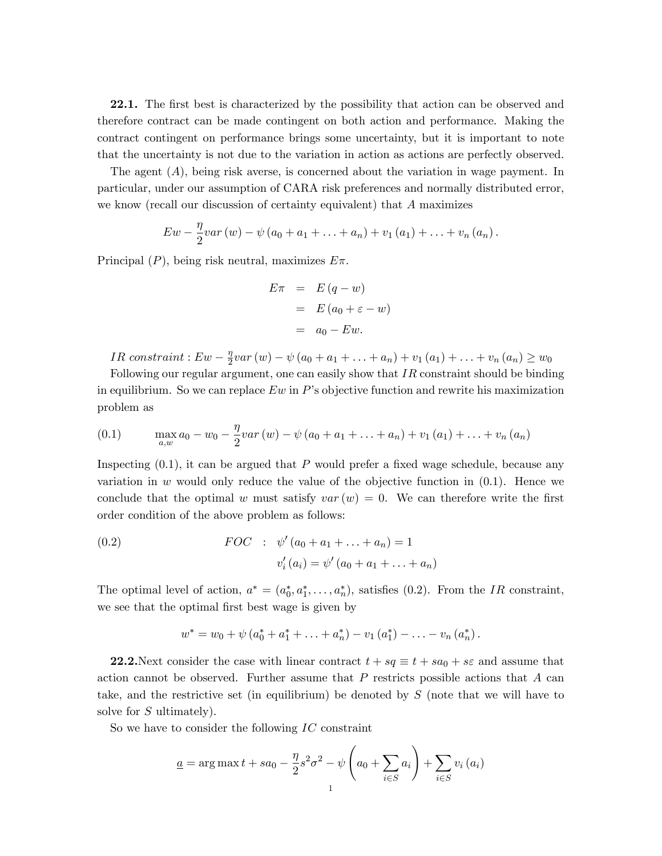22.1. The first best is characterized by the possibility that action can be observed and therefore contract can be made contingent on both action and performance. Making the contract contingent on performance brings some uncertainty, but it is important to note that the uncertainty is not due to the variation in action as actions are perfectly observed.

The agent (A), being risk averse, is concerned about the variation in wage payment. In particular, under our assumption of CARA risk preferences and normally distributed error, we know (recall our discussion of certainty equivalent) that A maximizes

$$
Ew - \frac{\eta}{2}var(w) - \psi(a_0 + a_1 + \ldots + a_n) + v_1(a_1) + \ldots + v_n(a_n).
$$

Principal  $(P)$ , being risk neutral, maximizes  $E\pi$ .

$$
E\pi = E(q - w)
$$
  
=  $E(a_0 + \varepsilon - w)$   
=  $a_0 - Ew$ .

*IR constraint* :  $Ew - \frac{\eta}{2}$  $\frac{\eta}{2}var(w) - \psi(a_0 + a_1 + \ldots + a_n) + v_1(a_1) + \ldots + v_n(a_n) \geq w_0$ 

Following our regular argument, one can easily show that  $IR$  constraint should be binding in equilibrium. So we can replace  $Ew$  in P's objective function and rewrite his maximization problem as

(0.1) 
$$
\max_{a,w} a_0 - w_0 - \frac{\eta}{2}var(w) - \psi(a_0 + a_1 + \ldots + a_n) + v_1(a_1) + \ldots + v_n(a_n)
$$

Inspecting  $(0.1)$ , it can be argued that P would prefer a fixed wage schedule, because any variation in w would only reduce the value of the objective function in  $(0.1)$ . Hence we conclude that the optimal w must satisfy  $var(w) = 0$ . We can therefore write the first order condition of the above problem as follows:

(0.2) 
$$
FOC : \psi'(a_0 + a_1 + ... + a_n) = 1
$$

$$
v'_i(a_i) = \psi'(a_0 + a_1 + ... + a_n)
$$

The optimal level of action,  $a^* = (a_0^*, a_1^*, \ldots, a_n^*)$ , satisfies (0.2). From the IR constraint, we see that the optimal first best wage is given by

$$
w^* = w_0 + \psi (a_0^* + a_1^* + \ldots + a_n^*) - v_1 (a_1^*) - \ldots - v_n (a_n^*).
$$

**22.2.**Next consider the case with linear contract  $t + sq \equiv t + sa_0 + s\epsilon$  and assume that action cannot be observed. Further assume that  $P$  restricts possible actions that  $A$  can take, and the restrictive set (in equilibrium) be denoted by S (note that we will have to solve for  $S$  ultimately).

So we have to consider the following  $IC$  constraint

$$
\underline{a} = \arg \max t + sa_0 - \frac{\eta}{2} s^2 \sigma^2 - \psi \left( a_0 + \sum_{i \in S} a_i \right) + \sum_{i \in S} v_i \left( a_i \right)
$$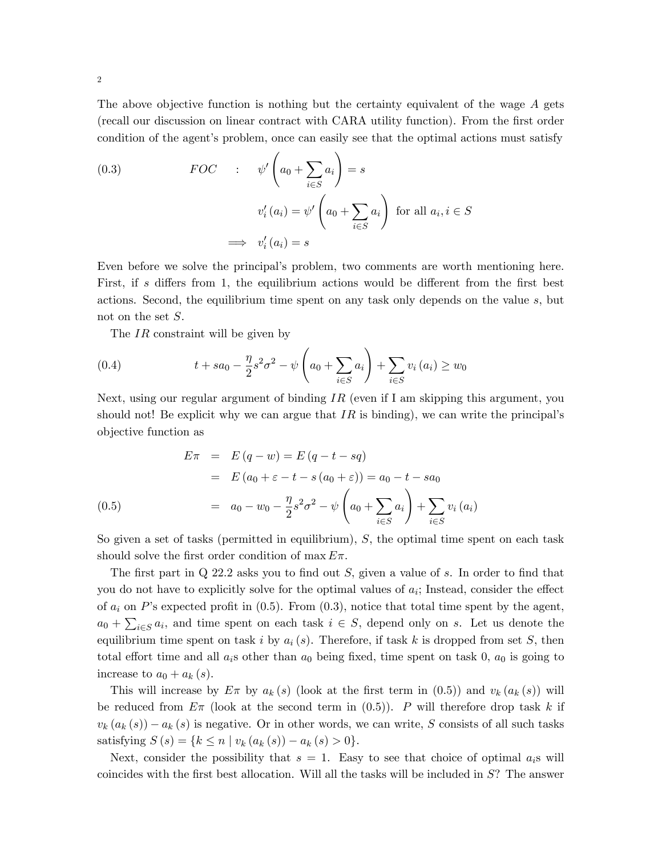The above objective function is nothing but the certainty equivalent of the wage A gets (recall our discussion on linear contract with CARA utility function). From the Örst order condition of the agent's problem, once can easily see that the optimal actions must satisfy

(0.3) 
$$
FOC \qquad : \qquad \psi'\left(a_0 + \sum_{i \in S} a_i\right) = s
$$

$$
v_i'(a_i) = \psi'\left(a_0 + \sum_{i \in S} a_i\right) \text{ for all } a_i, i \in S
$$

$$
\implies v_i'(a_i) = s
$$

Even before we solve the principalís problem, two comments are worth mentioning here. First, if s differs from 1, the equilibrium actions would be different from the first best actions. Second, the equilibrium time spent on any task only depends on the value s, but not on the set  $S$ .

The IR constraint will be given by

(0.4) 
$$
t + sa_0 - \frac{\eta}{2} s^2 \sigma^2 - \psi \left( a_0 + \sum_{i \in S} a_i \right) + \sum_{i \in S} v_i \left( a_i \right) \geq w_0
$$

Next, using our regular argument of binding  $IR$  (even if I am skipping this argument, you should not! Be explicit why we can argue that  $IR$  is binding), we can write the principal's objective function as

$$
E\pi = E(q - w) = E(q - t - sq)
$$
  
=  $E(a_0 + \varepsilon - t - s(a_0 + \varepsilon)) = a_0 - t - sa_0$   
=  $a_0 - w_0 - \frac{\eta}{2} s^2 \sigma^2 - \psi \left( a_0 + \sum_{i \in S} a_i \right) + \sum_{i \in S} v_i (a_i)$ 

So given a set of tasks (permitted in equilibrium),  $S$ , the optimal time spent on each task should solve the first order condition of max  $E\pi$ .

The first part in  $Q$  22.2 asks you to find out S, given a value of s. In order to find that you do not have to explicitly solve for the optimal values of  $a_i$ ; Instead, consider the effect of  $a_i$  on P's expected profit in  $(0.5)$ . From  $(0.3)$ , notice that total time spent by the agent,  $a_0 + \sum_{i \in S} a_i$ , and time spent on each task  $i \in S$ , depend only on s. Let us denote the equilibrium time spent on task i by  $a_i(s)$ . Therefore, if task k is dropped from set S, then total effort time and all  $a_i$ s other than  $a_0$  being fixed, time spent on task 0,  $a_0$  is going to increase to  $a_0 + a_k$  (s).

This will increase by  $E \pi$  by  $a_k(s)$  (look at the first term in (0.5)) and  $v_k(a_k(s))$  will be reduced from  $E_{\pi}$  (look at the second term in  $(0.5)$ ). P will therefore drop task k if  $v_k(a_k(s)) - a_k(s)$  is negative. Or in other words, we can write, S consists of all such tasks satisfying  $S(s) = \{k \leq n \mid v_k(a_k(s)) - a_k(s) > 0\}.$ 

Next, consider the possibility that  $s = 1$ . Easy to see that choice of optimal  $a_i$ s will coincides with the first best allocation. Will all the tasks will be included in  $S$ ? The answer